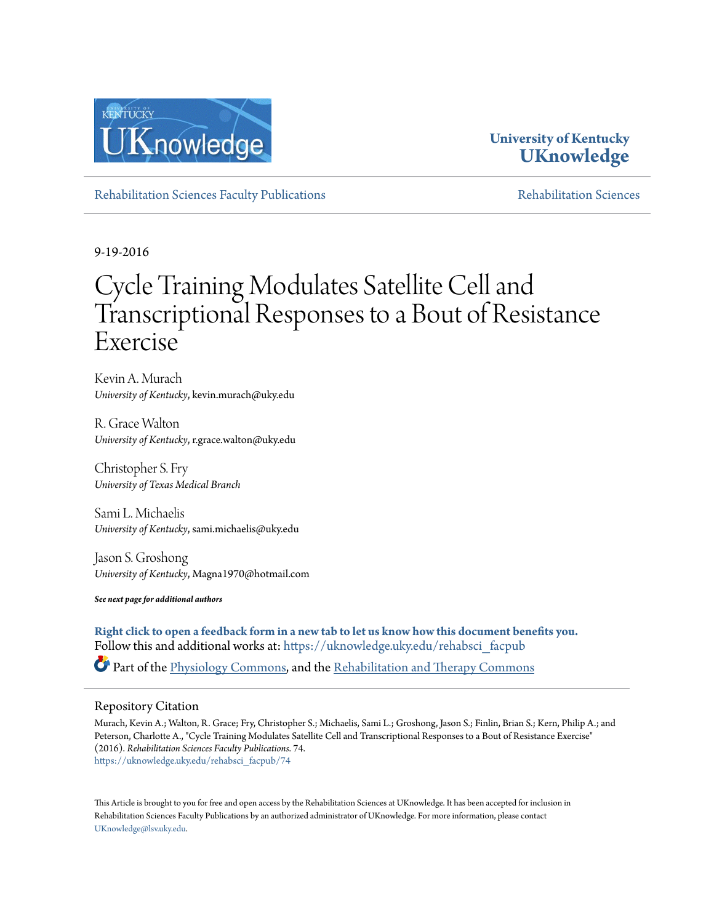

#### **University of Kentucky [UKnowledge](https://uknowledge.uky.edu?utm_source=uknowledge.uky.edu%2Frehabsci_facpub%2F74&utm_medium=PDF&utm_campaign=PDFCoverPages)**

[Rehabilitation Sciences Faculty Publications](https://uknowledge.uky.edu/rehabsci_facpub?utm_source=uknowledge.uky.edu%2Frehabsci_facpub%2F74&utm_medium=PDF&utm_campaign=PDFCoverPages) [Rehabilitation Sciences](https://uknowledge.uky.edu/rehabsci?utm_source=uknowledge.uky.edu%2Frehabsci_facpub%2F74&utm_medium=PDF&utm_campaign=PDFCoverPages)

9-19-2016

## Cycle Training Modulates Satellite Cell and Transcriptional Responses to a Bout of Resistance Exercise

Kevin A. Murach *University of Kentucky*, kevin.murach@uky.edu

R. Grace Walton *University of Kentucky*, r.grace.walton@uky.edu

Christopher S. Fry *University of Texas Medical Branch*

Sami L. Michaelis *University of Kentucky*, sami.michaelis@uky.edu

Jason S. Groshong *University of Kentucky*, Magna1970@hotmail.com

*See next page for additional authors*

**[Right click to open a feedback form in a new tab to let us know how this document benefits you.](https://uky.az1.qualtrics.com/jfe/form/SV_9mq8fx2GnONRfz7)** Follow this and additional works at: [https://uknowledge.uky.edu/rehabsci\\_facpub](https://uknowledge.uky.edu/rehabsci_facpub?utm_source=uknowledge.uky.edu%2Frehabsci_facpub%2F74&utm_medium=PDF&utm_campaign=PDFCoverPages)

Part of the [Physiology Commons](http://network.bepress.com/hgg/discipline/69?utm_source=uknowledge.uky.edu%2Frehabsci_facpub%2F74&utm_medium=PDF&utm_campaign=PDFCoverPages), and the [Rehabilitation and Therapy Commons](http://network.bepress.com/hgg/discipline/749?utm_source=uknowledge.uky.edu%2Frehabsci_facpub%2F74&utm_medium=PDF&utm_campaign=PDFCoverPages)

#### Repository Citation

Murach, Kevin A.; Walton, R. Grace; Fry, Christopher S.; Michaelis, Sami L.; Groshong, Jason S.; Finlin, Brian S.; Kern, Philip A.; and Peterson, Charlotte A., "Cycle Training Modulates Satellite Cell and Transcriptional Responses to a Bout of Resistance Exercise" (2016). *Rehabilitation Sciences Faculty Publications*. 74. [https://uknowledge.uky.edu/rehabsci\\_facpub/74](https://uknowledge.uky.edu/rehabsci_facpub/74?utm_source=uknowledge.uky.edu%2Frehabsci_facpub%2F74&utm_medium=PDF&utm_campaign=PDFCoverPages)

This Article is brought to you for free and open access by the Rehabilitation Sciences at UKnowledge. It has been accepted for inclusion in Rehabilitation Sciences Faculty Publications by an authorized administrator of UKnowledge. For more information, please contact [UKnowledge@lsv.uky.edu](mailto:UKnowledge@lsv.uky.edu).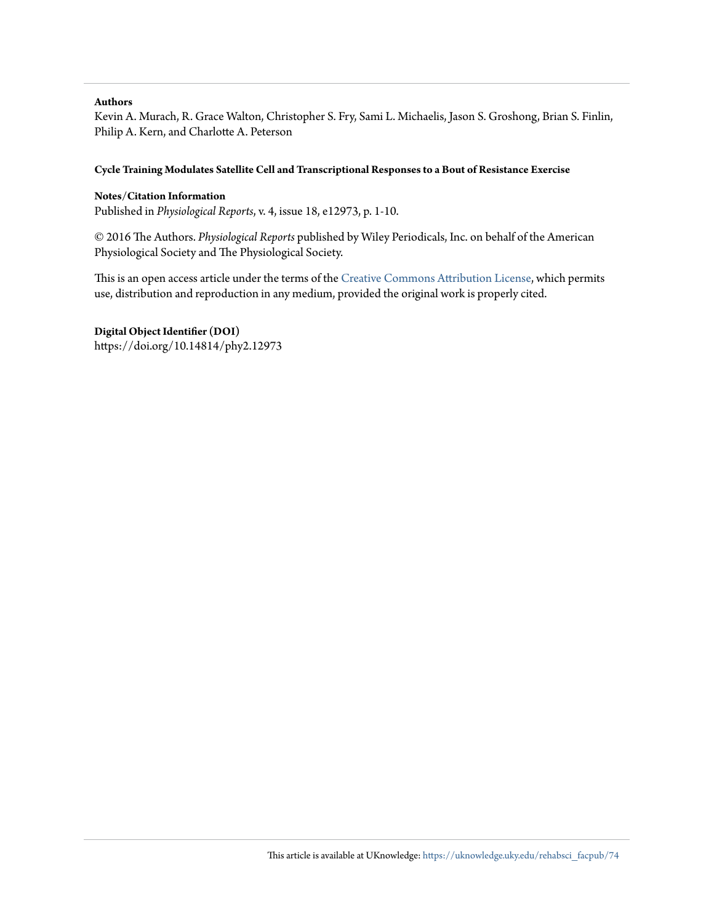#### **Authors**

Kevin A. Murach, R. Grace Walton, Christopher S. Fry, Sami L. Michaelis, Jason S. Groshong, Brian S. Finlin, Philip A. Kern, and Charlotte A. Peterson

#### **Cycle Training Modulates Satellite Cell and Transcriptional Responses to a Bout of Resistance Exercise**

#### **Notes/Citation Information**

Published in *Physiological Reports*, v. 4, issue 18, e12973, p. 1-10.

© 2016 The Authors. *Physiological Reports* published by Wiley Periodicals, Inc. on behalf of the American Physiological Society and The Physiological Society.

This is an open access article under the terms of the [Creative Commons Attribution License,](https://creativecommons.org/licenses/by/4.0/) which permits use, distribution and reproduction in any medium, provided the original work is properly cited.

#### **Digital Object Identifier (DOI)**

https://doi.org/10.14814/phy2.12973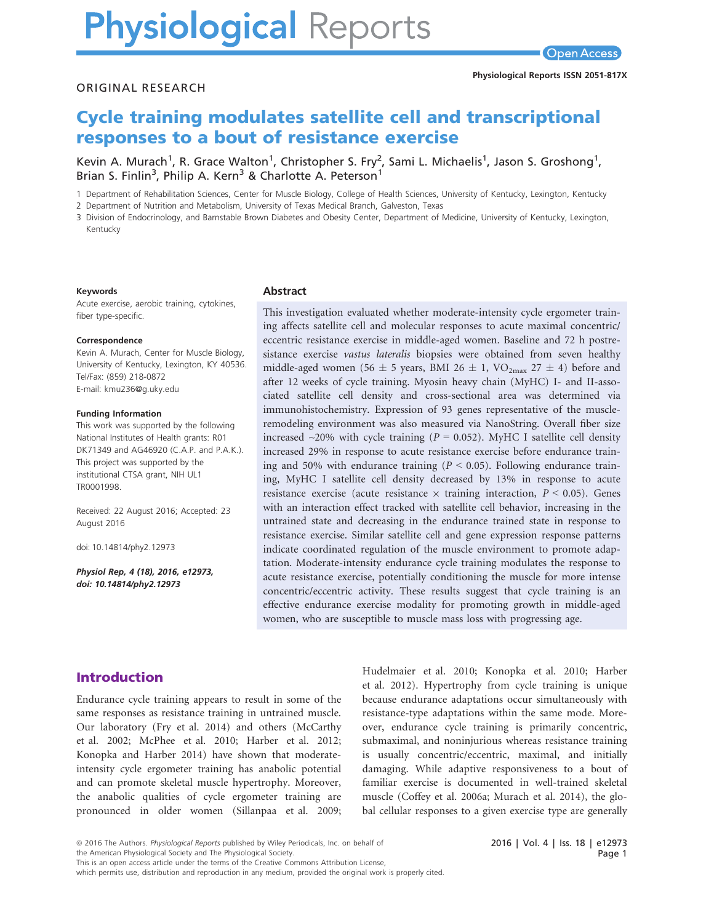# **Physiological Reports**

### Cycle training modulates satellite cell and transcriptional responses to a bout of resistance exercise

Kevin A. Murach , K. Grace Walton , Christopher S. Fry<br>Rrian S. Finlin<sup>3</sup>. Philin A. Kern<sup>3</sup> & Charlotte A. Peterson<sup>1</sup> , Sami L. Michaelis , Jason S. Groshong<br>1 , Brian S. Finlin<sup>3</sup> , Philip A. Kern<sup>3</sup> & Charlotte A. Peterson<sup>1</sup>

1 Department of Rehabilitation Sciences, Center for Muscle Biology, College of Health Sciences, University of Kentucky, Lexington, Kentucky

2 Department of Nutrition and Metabolism, University of Texas Medical Branch, Galveston, Texas

3 Division of Endocrinology, and Barnstable Brown Diabetes and Obesity Center, Department of Medicine, University of Kentucky, Lexington, Kentucky

#### Keywords

Acute exercise, aerobic training, cytokines, fiber type-specific.

#### Correspondence

Kevin A. Murach, Center for Muscle Biology, University of Kentucky, Lexington, KY 40536. Tel/Fax: (859) 218-0872 E-mail: kmu236@g.uky.edu

#### Funding Information

This work was supported by the following National Institutes of Health grants: R01 DK71349 and AG46920 (C.A.P. and P.A.K.). This project was supported by the institutional CTSA grant, NIH UL1 TR0001998.

Received: 22 August 2016; Accepted: 23 August 2016

doi: 10.14814/phy2.12973

Physiol Rep, 4 (18), 2016, e12973, doi: [10.14814/phy2.12973](info:doi/10.14814/phy2.12973)

#### Abstract

This investigation evaluated whether moderate-intensity cycle ergometer training affects satellite cell and molecular responses to acute maximal concentric/ eccentric resistance exercise in middle-aged women. Baseline and 72 h postresistance exercise vastus lateralis biopsies were obtained from seven healthy middle-aged women (56  $\pm$  5 years, BMI 26  $\pm$  1, VO<sub>2max</sub> 27  $\pm$  4) before and after 12 weeks of cycle training. Myosin heavy chain (MyHC) I- and II-associated satellite cell density and cross-sectional area was determined via immunohistochemistry. Expression of 93 genes representative of the muscleremodeling environment was also measured via NanoString. Overall fiber size increased  $\sim$ 20% with cycle training ( $P = 0.052$ ). MyHC I satellite cell density increased 29% in response to acute resistance exercise before endurance training and 50% with endurance training ( $P < 0.05$ ). Following endurance training, MyHC I satellite cell density decreased by 13% in response to acute resistance exercise (acute resistance  $\times$  training interaction,  $P < 0.05$ ). Genes with an interaction effect tracked with satellite cell behavior, increasing in the untrained state and decreasing in the endurance trained state in response to resistance exercise. Similar satellite cell and gene expression response patterns indicate coordinated regulation of the muscle environment to promote adaptation. Moderate-intensity endurance cycle training modulates the response to acute resistance exercise, potentially conditioning the muscle for more intense concentric/eccentric activity. These results suggest that cycle training is an effective endurance exercise modality for promoting growth in middle-aged women, who are susceptible to muscle mass loss with progressing age.

#### Introduction

Endurance cycle training appears to result in some of the same responses as resistance training in untrained muscle. Our laboratory (Fry et al. 2014) and others (McCarthy et al. 2002; McPhee et al. 2010; Harber et al. 2012; Konopka and Harber 2014) have shown that moderateintensity cycle ergometer training has anabolic potential and can promote skeletal muscle hypertrophy. Moreover, the anabolic qualities of cycle ergometer training are pronounced in older women (Sillanpaa et al. 2009; Hudelmaier et al. 2010; Konopka et al. 2010; Harber et al. 2012). Hypertrophy from cycle training is unique because endurance adaptations occur simultaneously with resistance-type adaptations within the same mode. Moreover, endurance cycle training is primarily concentric, submaximal, and noninjurious whereas resistance training is usually concentric/eccentric, maximal, and initially damaging. While adaptive responsiveness to a bout of familiar exercise is documented in well-trained skeletal muscle (Coffey et al. 2006a; Murach et al. 2014), the global cellular responses to a given exercise type are generally

This is an open access article under the terms of the [Creative Commons Attribution](http://creativecommons.org/licenses/by/4.0/) License,

which permits use, distribution and reproduction in any medium, provided the original work is properly cited.

<sup>ª</sup> 2016 The Authors. Physiological Reports published by Wiley Periodicals, Inc. on behalf of the American Physiological Society and The Physiological Society.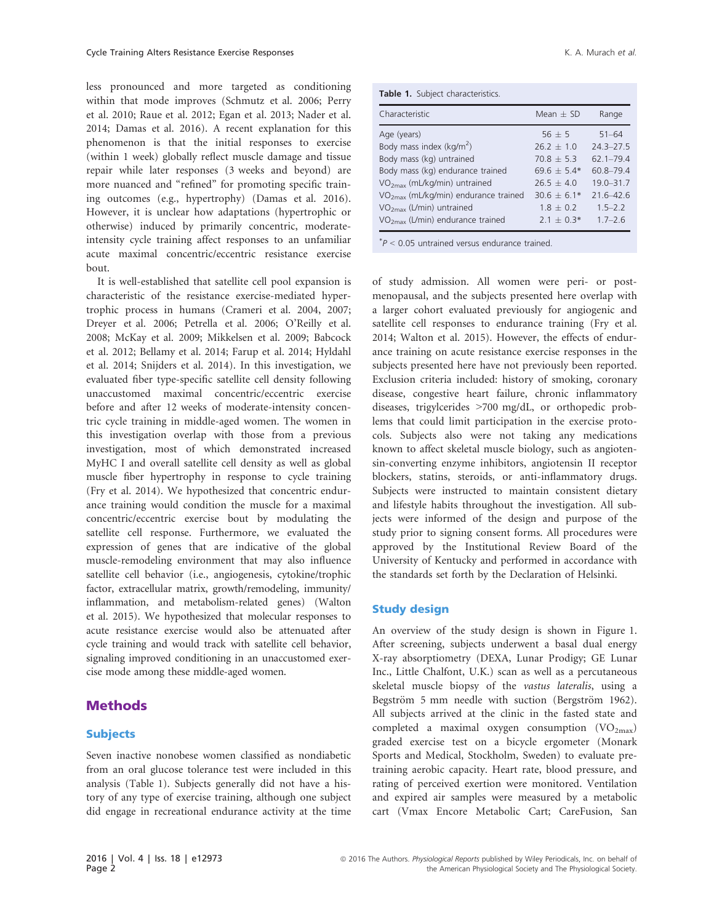less pronounced and more targeted as conditioning within that mode improves (Schmutz et al. 2006; Perry et al. 2010; Raue et al. 2012; Egan et al. 2013; Nader et al. 2014; Damas et al. 2016). A recent explanation for this phenomenon is that the initial responses to exercise (within 1 week) globally reflect muscle damage and tissue repair while later responses (3 weeks and beyond) are more nuanced and "refined" for promoting specific training outcomes (e.g., hypertrophy) (Damas et al. 2016). However, it is unclear how adaptations (hypertrophic or otherwise) induced by primarily concentric, moderateintensity cycle training affect responses to an unfamiliar acute maximal concentric/eccentric resistance exercise bout.

It is well-established that satellite cell pool expansion is characteristic of the resistance exercise-mediated hypertrophic process in humans (Crameri et al. 2004, 2007; Dreyer et al. 2006; Petrella et al. 2006; O'Reilly et al. 2008; McKay et al. 2009; Mikkelsen et al. 2009; Babcock et al. 2012; Bellamy et al. 2014; Farup et al. 2014; Hyldahl et al. 2014; Snijders et al. 2014). In this investigation, we evaluated fiber type-specific satellite cell density following unaccustomed maximal concentric/eccentric exercise before and after 12 weeks of moderate-intensity concentric cycle training in middle-aged women. The women in this investigation overlap with those from a previous investigation, most of which demonstrated increased MyHC I and overall satellite cell density as well as global muscle fiber hypertrophy in response to cycle training (Fry et al. 2014). We hypothesized that concentric endurance training would condition the muscle for a maximal concentric/eccentric exercise bout by modulating the satellite cell response. Furthermore, we evaluated the expression of genes that are indicative of the global muscle-remodeling environment that may also influence satellite cell behavior (i.e., angiogenesis, cytokine/trophic factor, extracellular matrix, growth/remodeling, immunity/ inflammation, and metabolism-related genes) (Walton et al. 2015). We hypothesized that molecular responses to acute resistance exercise would also be attenuated after cycle training and would track with satellite cell behavior, signaling improved conditioning in an unaccustomed exercise mode among these middle-aged women.

#### Methods

#### **Subjects**

Seven inactive nonobese women classified as nondiabetic from an oral glucose tolerance test were included in this analysis (Table 1). Subjects generally did not have a history of any type of exercise training, although one subject did engage in recreational endurance activity at the time

| Table 1. Subject characteristics. |  |
|-----------------------------------|--|
|-----------------------------------|--|

| Characteristic                         | Mean $\pm$ SD | Range         |
|----------------------------------------|---------------|---------------|
| Age (years)                            | $56 + 5$      | $51 - 64$     |
| Body mass index ( $kg/m2$ )            | $26.2 + 1.0$  | $24.3 - 27.5$ |
| Body mass (kg) untrained               | $70.8 + 5.3$  | $621 - 794$   |
| Body mass (kg) endurance trained       | $69.6 + 5.4*$ | 60.8-79.4     |
| $VO2max$ (mL/kg/min) untrained         | $26.5 + 4.0$  | $19.0 - 31.7$ |
| $VO2max$ (mL/kg/min) endurance trained | $30.6 + 6.1*$ | $216 - 426$   |
| $VO2max$ (L/min) untrained             | $1.8 + 0.2$   | $1.5 - 2.2$   |
| $VO2max$ (L/min) endurance trained     | $2.1 + 0.3*$  | $1.7 - 2.6$   |
|                                        |               |               |

 $P < 0.05$  untrained versus endurance trained.

of study admission. All women were peri- or postmenopausal, and the subjects presented here overlap with a larger cohort evaluated previously for angiogenic and satellite cell responses to endurance training (Fry et al. 2014; Walton et al. 2015). However, the effects of endurance training on acute resistance exercise responses in the subjects presented here have not previously been reported. Exclusion criteria included: history of smoking, coronary disease, congestive heart failure, chronic inflammatory diseases, trigylcerides >700 mg/dL, or orthopedic problems that could limit participation in the exercise protocols. Subjects also were not taking any medications known to affect skeletal muscle biology, such as angiotensin-converting enzyme inhibitors, angiotensin II receptor blockers, statins, steroids, or anti-inflammatory drugs. Subjects were instructed to maintain consistent dietary and lifestyle habits throughout the investigation. All subjects were informed of the design and purpose of the study prior to signing consent forms. All procedures were approved by the Institutional Review Board of the University of Kentucky and performed in accordance with the standards set forth by the Declaration of Helsinki.

#### Study design

An overview of the study design is shown in Figure 1. After screening, subjects underwent a basal dual energy X-ray absorptiometry (DEXA, Lunar Prodigy; GE Lunar Inc., Little Chalfont, U.K.) scan as well as a percutaneous skeletal muscle biopsy of the vastus lateralis, using a Begström 5 mm needle with suction (Bergström 1962). All subjects arrived at the clinic in the fasted state and completed a maximal oxygen consumption  $(VO_{2max})$ graded exercise test on a bicycle ergometer (Monark Sports and Medical, Stockholm, Sweden) to evaluate pretraining aerobic capacity. Heart rate, blood pressure, and rating of perceived exertion were monitored. Ventilation and expired air samples were measured by a metabolic cart (Vmax Encore Metabolic Cart; CareFusion, San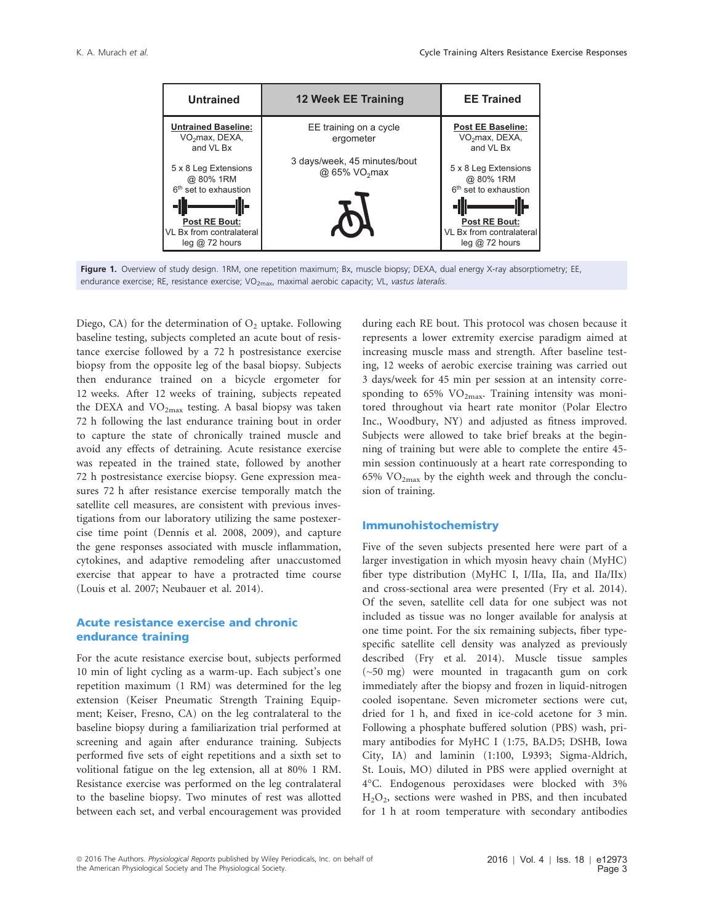

Figure 1. Overview of study design. 1RM, one repetition maximum; Bx, muscle biopsy; DEXA, dual energy X-ray absorptiometry; EE, endurance exercise; RE, resistance exercise; VO<sub>2max</sub>, maximal aerobic capacity; VL, vastus lateralis.

Diego, CA) for the determination of  $O<sub>2</sub>$  uptake. Following baseline testing, subjects completed an acute bout of resistance exercise followed by a 72 h postresistance exercise biopsy from the opposite leg of the basal biopsy. Subjects then endurance trained on a bicycle ergometer for 12 weeks. After 12 weeks of training, subjects repeated the DEXA and  $VO<sub>2max</sub>$  testing. A basal biopsy was taken 72 h following the last endurance training bout in order to capture the state of chronically trained muscle and avoid any effects of detraining. Acute resistance exercise was repeated in the trained state, followed by another 72 h postresistance exercise biopsy. Gene expression measures 72 h after resistance exercise temporally match the satellite cell measures, are consistent with previous investigations from our laboratory utilizing the same postexercise time point (Dennis et al. 2008, 2009), and capture the gene responses associated with muscle inflammation, cytokines, and adaptive remodeling after unaccustomed exercise that appear to have a protracted time course (Louis et al. 2007; Neubauer et al. 2014).

#### Acute resistance exercise and chronic endurance training

For the acute resistance exercise bout, subjects performed 10 min of light cycling as a warm-up. Each subject's one repetition maximum (1 RM) was determined for the leg extension (Keiser Pneumatic Strength Training Equipment; Keiser, Fresno, CA) on the leg contralateral to the baseline biopsy during a familiarization trial performed at screening and again after endurance training. Subjects performed five sets of eight repetitions and a sixth set to volitional fatigue on the leg extension, all at 80% 1 RM. Resistance exercise was performed on the leg contralateral to the baseline biopsy. Two minutes of rest was allotted between each set, and verbal encouragement was provided

during each RE bout. This protocol was chosen because it represents a lower extremity exercise paradigm aimed at increasing muscle mass and strength. After baseline testing, 12 weeks of aerobic exercise training was carried out 3 days/week for 45 min per session at an intensity corresponding to  $65\%$  VO<sub>2max</sub>. Training intensity was monitored throughout via heart rate monitor (Polar Electro Inc., Woodbury, NY) and adjusted as fitness improved. Subjects were allowed to take brief breaks at the beginning of training but were able to complete the entire 45 min session continuously at a heart rate corresponding to 65%  $VO<sub>2max</sub>$  by the eighth week and through the conclusion of training.

#### Immunohistochemistry

Five of the seven subjects presented here were part of a larger investigation in which myosin heavy chain (MyHC) fiber type distribution (MyHC I, I/IIa, IIa, and IIa/IIx) and cross-sectional area were presented (Fry et al. 2014). Of the seven, satellite cell data for one subject was not included as tissue was no longer available for analysis at one time point. For the six remaining subjects, fiber typespecific satellite cell density was analyzed as previously described (Fry et al. 2014). Muscle tissue samples (~50 mg) were mounted in tragacanth gum on cork immediately after the biopsy and frozen in liquid-nitrogen cooled isopentane. Seven micrometer sections were cut, dried for 1 h, and fixed in ice-cold acetone for 3 min. Following a phosphate buffered solution (PBS) wash, primary antibodies for MyHC I (1:75, BA.D5; DSHB, Iowa City, IA) and laminin (1:100, L9393; Sigma-Aldrich, St. Louis, MO) diluted in PBS were applied overnight at 4°C. Endogenous peroxidases were blocked with 3%  $H<sub>2</sub>O<sub>2</sub>$ , sections were washed in PBS, and then incubated for 1 h at room temperature with secondary antibodies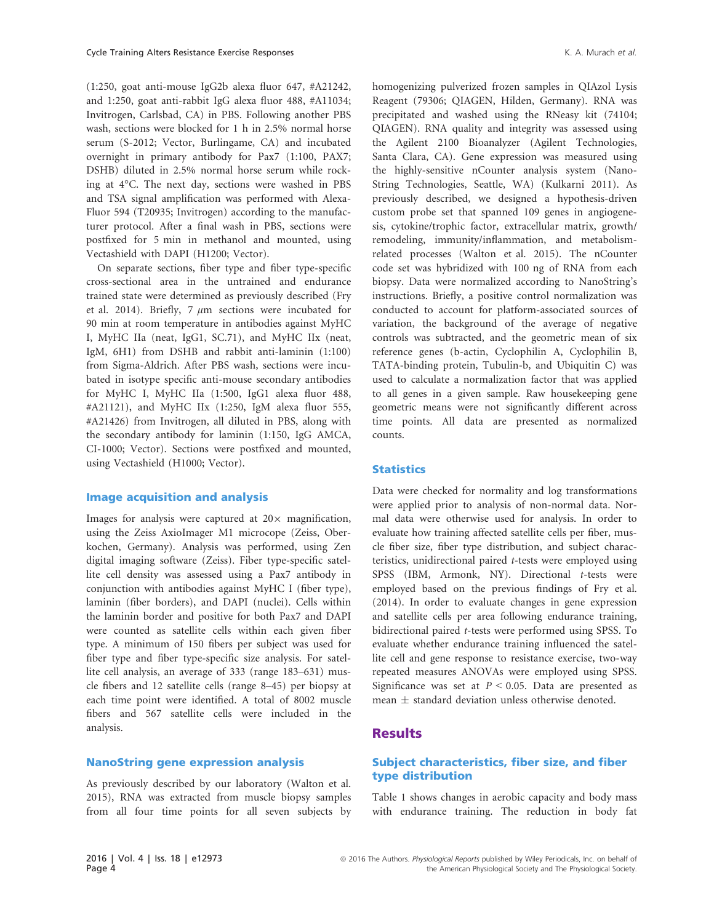(1:250, goat anti-mouse IgG2b alexa fluor 647, #A21242, and 1:250, goat anti-rabbit IgG alexa fluor 488, #A11034; Invitrogen, Carlsbad, CA) in PBS. Following another PBS wash, sections were blocked for 1 h in 2.5% normal horse serum (S-2012; Vector, Burlingame, CA) and incubated overnight in primary antibody for Pax7 (1:100, PAX7; DSHB) diluted in 2.5% normal horse serum while rocking at 4°C. The next day, sections were washed in PBS and TSA signal amplification was performed with Alexa-Fluor 594 (T20935; Invitrogen) according to the manufacturer protocol. After a final wash in PBS, sections were postfixed for 5 min in methanol and mounted, using Vectashield with DAPI (H1200; Vector).

On separate sections, fiber type and fiber type-specific cross-sectional area in the untrained and endurance trained state were determined as previously described (Fry et al. 2014). Briefly, 7  $\mu$ m sections were incubated for 90 min at room temperature in antibodies against MyHC I, MyHC IIa (neat, IgG1, SC.71), and MyHC IIx (neat, IgM, 6H1) from DSHB and rabbit anti-laminin (1:100) from Sigma-Aldrich. After PBS wash, sections were incubated in isotype specific anti-mouse secondary antibodies for MyHC I, MyHC IIa (1:500, IgG1 alexa fluor 488, #A21121), and MyHC IIx (1:250, IgM alexa fluor 555, #A21426) from Invitrogen, all diluted in PBS, along with the secondary antibody for laminin (1:150, IgG AMCA, CI-1000; Vector). Sections were postfixed and mounted, using Vectashield (H1000; Vector).

#### Image acquisition and analysis

Images for analysis were captured at  $20\times$  magnification, using the Zeiss AxioImager M1 microcope (Zeiss, Oberkochen, Germany). Analysis was performed, using Zen digital imaging software (Zeiss). Fiber type-specific satellite cell density was assessed using a Pax7 antibody in conjunction with antibodies against MyHC I (fiber type), laminin (fiber borders), and DAPI (nuclei). Cells within the laminin border and positive for both Pax7 and DAPI were counted as satellite cells within each given fiber type. A minimum of 150 fibers per subject was used for fiber type and fiber type-specific size analysis. For satellite cell analysis, an average of 333 (range 183–631) muscle fibers and 12 satellite cells (range 8–45) per biopsy at each time point were identified. A total of 8002 muscle fibers and 567 satellite cells were included in the analysis.

As previously described by our laboratory (Walton et al. 2015), RNA was extracted from muscle biopsy samples from all four time points for all seven subjects by homogenizing pulverized frozen samples in QIAzol Lysis Reagent (79306; QIAGEN, Hilden, Germany). RNA was precipitated and washed using the RNeasy kit (74104; QIAGEN). RNA quality and integrity was assessed using the Agilent 2100 Bioanalyzer (Agilent Technologies, Santa Clara, CA). Gene expression was measured using the highly-sensitive nCounter analysis system (Nano-String Technologies, Seattle, WA) (Kulkarni 2011). As previously described, we designed a hypothesis-driven custom probe set that spanned 109 genes in angiogenesis, cytokine/trophic factor, extracellular matrix, growth/ remodeling, immunity/inflammation, and metabolismrelated processes (Walton et al. 2015). The nCounter code set was hybridized with 100 ng of RNA from each biopsy. Data were normalized according to NanoString's instructions. Briefly, a positive control normalization was conducted to account for platform-associated sources of variation, the background of the average of negative controls was subtracted, and the geometric mean of six reference genes (b-actin, Cyclophilin A, Cyclophilin B, TATA-binding protein, Tubulin-b, and Ubiquitin C) was used to calculate a normalization factor that was applied to all genes in a given sample. Raw housekeeping gene geometric means were not significantly different across time points. All data are presented as normalized counts.

#### **Statistics**

Data were checked for normality and log transformations were applied prior to analysis of non-normal data. Normal data were otherwise used for analysis. In order to evaluate how training affected satellite cells per fiber, muscle fiber size, fiber type distribution, and subject characteristics, unidirectional paired t-tests were employed using SPSS (IBM, Armonk, NY). Directional t-tests were employed based on the previous findings of Fry et al. (2014). In order to evaluate changes in gene expression and satellite cells per area following endurance training, bidirectional paired t-tests were performed using SPSS. To evaluate whether endurance training influenced the satellite cell and gene response to resistance exercise, two-way repeated measures ANOVAs were employed using SPSS. Significance was set at  $P < 0.05$ . Data are presented as mean  $\pm$  standard deviation unless otherwise denoted.

#### **Results**

#### Subject characteristics, fiber size, and fiber type distribution

Table 1 shows changes in aerobic capacity and body mass with endurance training. The reduction in body fat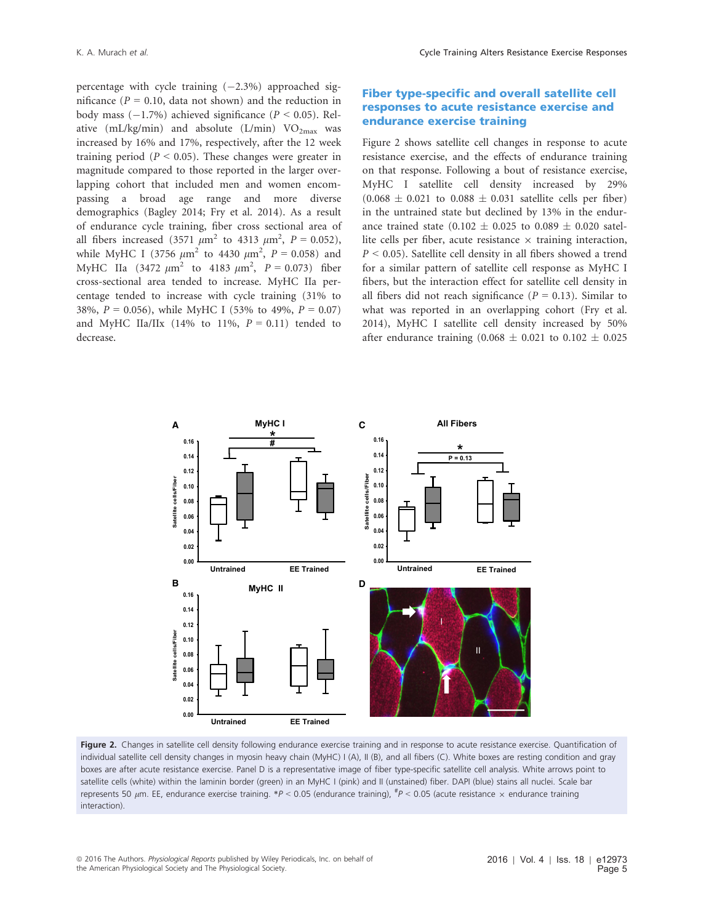percentage with cycle training  $(-2.3\%)$  approached significance ( $P = 0.10$ , data not shown) and the reduction in body mass  $(-1.7%)$  achieved significance ( $P < 0.05$ ). Relative (mL/kg/min) and absolute (L/min)  $VO_{2max}$  was increased by 16% and 17%, respectively, after the 12 week training period ( $P < 0.05$ ). These changes were greater in magnitude compared to those reported in the larger overlapping cohort that included men and women encompassing a broad age range and more diverse demographics (Bagley 2014; Fry et al. 2014). As a result of endurance cycle training, fiber cross sectional area of all fibers increased (3571  $\mu$ m<sup>2</sup> to 4313  $\mu$ m<sup>2</sup>, P = 0.052), while MyHC I (3756  $\mu$ m<sup>2</sup> to 4430  $\mu$ m<sup>2</sup>, P = 0.058) and MyHC IIa (3472  $\mu$ m<sup>2</sup> to 4183  $\mu$ m<sup>2</sup>, P = 0.073) fiber cross-sectional area tended to increase. MyHC IIa percentage tended to increase with cycle training (31% to 38%,  $P = 0.056$ , while MyHC I (53% to 49%,  $P = 0.07$ ) and MyHC IIa/IIx (14% to 11%,  $P = 0.11$ ) tended to decrease.

#### Fiber type-specific and overall satellite cell responses to acute resistance exercise and endurance exercise training

Figure 2 shows satellite cell changes in response to acute resistance exercise, and the effects of endurance training on that response. Following a bout of resistance exercise, MyHC I satellite cell density increased by 29%  $(0.068 \pm 0.021$  to  $0.088 \pm 0.031$  satellite cells per fiber) in the untrained state but declined by 13% in the endurance trained state (0.102  $\pm$  0.025 to 0.089  $\pm$  0.020 satellite cells per fiber, acute resistance  $\times$  training interaction,  $P < 0.05$ ). Satellite cell density in all fibers showed a trend for a similar pattern of satellite cell response as MyHC I fibers, but the interaction effect for satellite cell density in all fibers did not reach significance ( $P = 0.13$ ). Similar to what was reported in an overlapping cohort (Fry et al. 2014), MyHC I satellite cell density increased by 50% after endurance training  $(0.068 \pm 0.021$  to  $0.102 \pm 0.025$ 



Figure 2. Changes in satellite cell density following endurance exercise training and in response to acute resistance exercise. Quantification of individual satellite cell density changes in myosin heavy chain (MyHC) I (A), II (B), and all fibers (C). White boxes are resting condition and gray boxes are after acute resistance exercise. Panel D is a representative image of fiber type-specific satellite cell analysis. White arrows point to satellite cells (white) within the laminin border (green) in an MyHC I (pink) and II (unstained) fiber. DAPI (blue) stains all nuclei. Scale bar represents 50  $\mu$ m. EE, endurance exercise training. \*P < 0.05 (endurance training), <sup>#</sup>P < 0.05 (acute resistance  $\times$  endurance training interaction).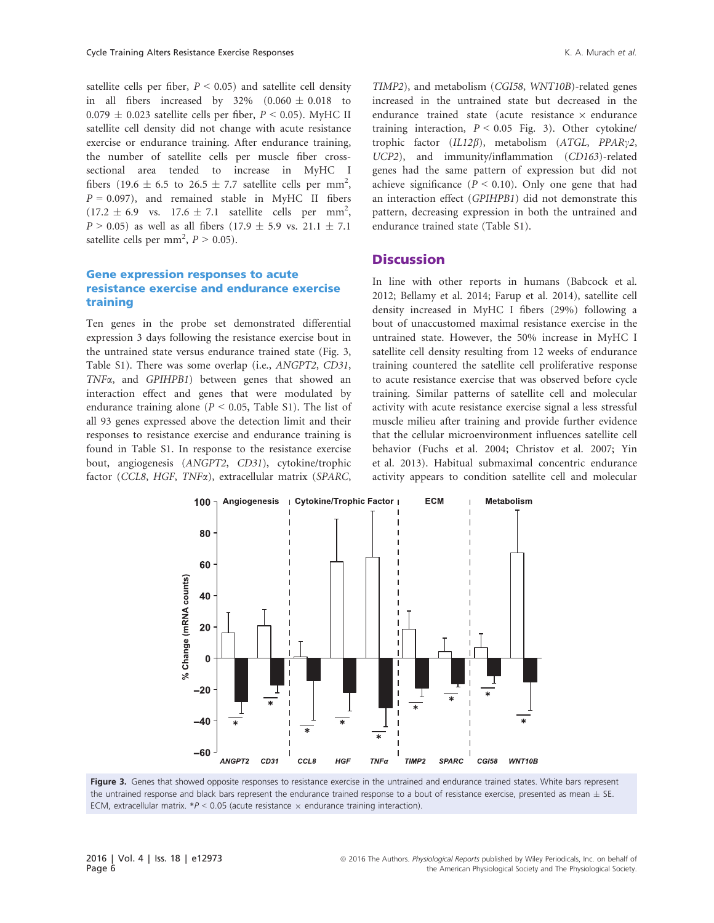satellite cells per fiber,  $P \le 0.05$ ) and satellite cell density in all fibers increased by  $32\%$   $(0.060 \pm 0.018)$  to  $0.079 \pm 0.023$  satellite cells per fiber,  $P < 0.05$ ). MyHC II satellite cell density did not change with acute resistance exercise or endurance training. After endurance training, the number of satellite cells per muscle fiber crosssectional area tended to increase in MyHC I fibers (19.6  $\pm$  6.5 to 26.5  $\pm$  7.7 satellite cells per mm<sup>2</sup>,  $P = 0.097$ ), and remained stable in MyHC II fibers  $(17.2 \pm 6.9 \text{ vs. } 17.6 \pm 7.1 \text{ satellite cells per mm}^2,$  $P > 0.05$ ) as well as all fibers (17.9  $\pm$  5.9 vs. 21.1  $\pm$  7.1 satellite cells per mm<sup>2</sup>,  $P > 0.05$ ).

#### Gene expression responses to acute resistance exercise and endurance exercise training

Ten genes in the probe set demonstrated differential expression 3 days following the resistance exercise bout in the untrained state versus endurance trained state (Fig. 3, Table S1). There was some overlap (i.e., ANGPT2, CD31, TNFa, and GPIHPB1) between genes that showed an interaction effect and genes that were modulated by endurance training alone ( $P < 0.05$ , Table S1). The list of all 93 genes expressed above the detection limit and their responses to resistance exercise and endurance training is found in Table S1. In response to the resistance exercise bout, angiogenesis (ANGPT2, CD31), cytokine/trophic factor (CCL8, HGF, TNFa), extracellular matrix (SPARC,

TIMP2), and metabolism (CGI58, WNT10B)-related genes increased in the untrained state but decreased in the endurance trained state (acute resistance  $\times$  endurance training interaction,  $P < 0.05$  Fig. 3). Other cytokine/ trophic factor ( $IL12\beta$ ), metabolism (ATGL, PPARy2, UCP2), and immunity/inflammation (CD163)-related genes had the same pattern of expression but did not achieve significance  $(P < 0.10)$ . Only one gene that had an interaction effect (GPIHPB1) did not demonstrate this pattern, decreasing expression in both the untrained and endurance trained state (Table S1).

#### **Discussion**

In line with other reports in humans (Babcock et al. 2012; Bellamy et al. 2014; Farup et al. 2014), satellite cell density increased in MyHC I fibers (29%) following a bout of unaccustomed maximal resistance exercise in the untrained state. However, the 50% increase in MyHC I satellite cell density resulting from 12 weeks of endurance training countered the satellite cell proliferative response to acute resistance exercise that was observed before cycle training. Similar patterns of satellite cell and molecular activity with acute resistance exercise signal a less stressful muscle milieu after training and provide further evidence that the cellular microenvironment influences satellite cell behavior (Fuchs et al. 2004; Christov et al. 2007; Yin et al. 2013). Habitual submaximal concentric endurance activity appears to condition satellite cell and molecular



Figure 3. Genes that showed opposite responses to resistance exercise in the untrained and endurance trained states. White bars represent the untrained response and black bars represent the endurance trained response to a bout of resistance exercise, presented as mean  $\pm$  SE. ECM, extracellular matrix.  $*P < 0.05$  (acute resistance  $\times$  endurance training interaction).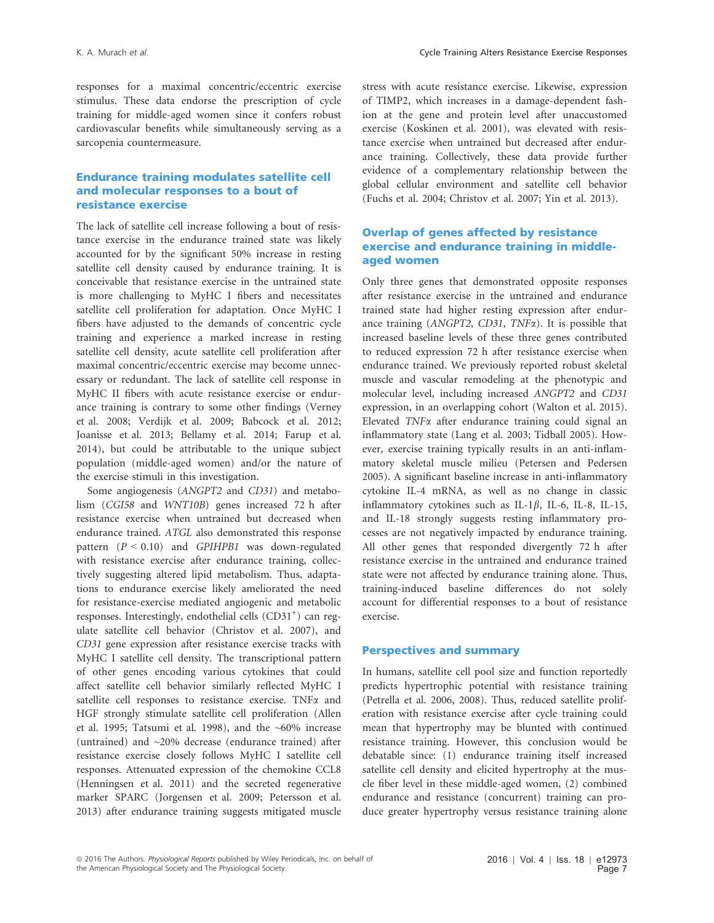responses for a maximal concentric/eccentric exercise stimulus. These data endorse the prescription of cycle training for middle-aged women since it confers robust cardiovascular benefits while simultaneously serving as a sarcopenia countermeasure.

#### Endurance training modulates satellite cell and molecular responses to a bout of resistance exercise

The lack of satellite cell increase following a bout of resistance exercise in the endurance trained state was likely accounted for by the significant 50% increase in resting satellite cell density caused by endurance training. It is conceivable that resistance exercise in the untrained state is more challenging to MyHC I fibers and necessitates satellite cell proliferation for adaptation. Once MyHC I fibers have adjusted to the demands of concentric cycle training and experience a marked increase in resting satellite cell density, acute satellite cell proliferation after maximal concentric/eccentric exercise may become unnecessary or redundant. The lack of satellite cell response in MyHC II fibers with acute resistance exercise or endurance training is contrary to some other findings (Verney et al. 2008; Verdijk et al. 2009; Babcock et al. 2012; Joanisse et al. 2013; Bellamy et al. 2014; Farup et al. 2014), but could be attributable to the unique subject population (middle-aged women) and/or the nature of the exercise stimuli in this investigation.

Some angiogenesis (ANGPT2 and CD31) and metabolism (CGI58 and WNT10B) genes increased 72 h after resistance exercise when untrained but decreased when endurance trained. ATGL also demonstrated this response pattern  $(P < 0.10)$  and GPIHPB1 was down-regulated with resistance exercise after endurance training, collectively suggesting altered lipid metabolism. Thus, adaptations to endurance exercise likely ameliorated the need for resistance-exercise mediated angiogenic and metabolic responses. Interestingly, endothelial cells (CD31<sup>+</sup>) can regulate satellite cell behavior (Christov et al. 2007), and CD31 gene expression after resistance exercise tracks with MyHC I satellite cell density. The transcriptional pattern of other genes encoding various cytokines that could affect satellite cell behavior similarly reflected MyHC I satellite cell responses to resistance exercise. TNFa and HGF strongly stimulate satellite cell proliferation (Allen et al. 1995; Tatsumi et al. 1998), and the  $~60\%$  increase (untrained) and ~20% decrease (endurance trained) after resistance exercise closely follows MyHC I satellite cell responses. Attenuated expression of the chemokine CCL8 (Henningsen et al. 2011) and the secreted regenerative marker SPARC (Jorgensen et al. 2009; Petersson et al. 2013) after endurance training suggests mitigated muscle stress with acute resistance exercise. Likewise, expression of TIMP2, which increases in a damage-dependent fashion at the gene and protein level after unaccustomed exercise (Koskinen et al. 2001), was elevated with resistance exercise when untrained but decreased after endurance training. Collectively, these data provide further evidence of a complementary relationship between the global cellular environment and satellite cell behavior (Fuchs et al. 2004; Christov et al. 2007; Yin et al. 2013).

#### Overlap of genes affected by resistance exercise and endurance training in middleaged women

Only three genes that demonstrated opposite responses after resistance exercise in the untrained and endurance trained state had higher resting expression after endurance training (ANGPT2, CD31, TNFa). It is possible that increased baseline levels of these three genes contributed to reduced expression 72 h after resistance exercise when endurance trained. We previously reported robust skeletal muscle and vascular remodeling at the phenotypic and molecular level, including increased ANGPT2 and CD31 expression, in an overlapping cohort (Walton et al. 2015). Elevated TNF<sub> $\alpha$ </sub> after endurance training could signal an inflammatory state (Lang et al. 2003; Tidball 2005). However, exercise training typically results in an anti-inflammatory skeletal muscle milieu (Petersen and Pedersen 2005). A significant baseline increase in anti-inflammatory cytokine IL-4 mRNA, as well as no change in classic inflammatory cytokines such as IL-1 $\beta$ , IL-6, IL-8, IL-15, and IL-18 strongly suggests resting inflammatory processes are not negatively impacted by endurance training. All other genes that responded divergently 72 h after resistance exercise in the untrained and endurance trained state were not affected by endurance training alone. Thus, training-induced baseline differences do not solely account for differential responses to a bout of resistance exercise.

#### Perspectives and summary

In humans, satellite cell pool size and function reportedly predicts hypertrophic potential with resistance training (Petrella et al. 2006, 2008). Thus, reduced satellite proliferation with resistance exercise after cycle training could mean that hypertrophy may be blunted with continued resistance training. However, this conclusion would be debatable since: (1) endurance training itself increased satellite cell density and elicited hypertrophy at the muscle fiber level in these middle-aged women, (2) combined endurance and resistance (concurrent) training can produce greater hypertrophy versus resistance training alone

<sup>ª</sup> 2016 The Authors. Physiological Reports published by Wiley Periodicals, Inc. on behalf of the American Physiological Society and The Physiological Society.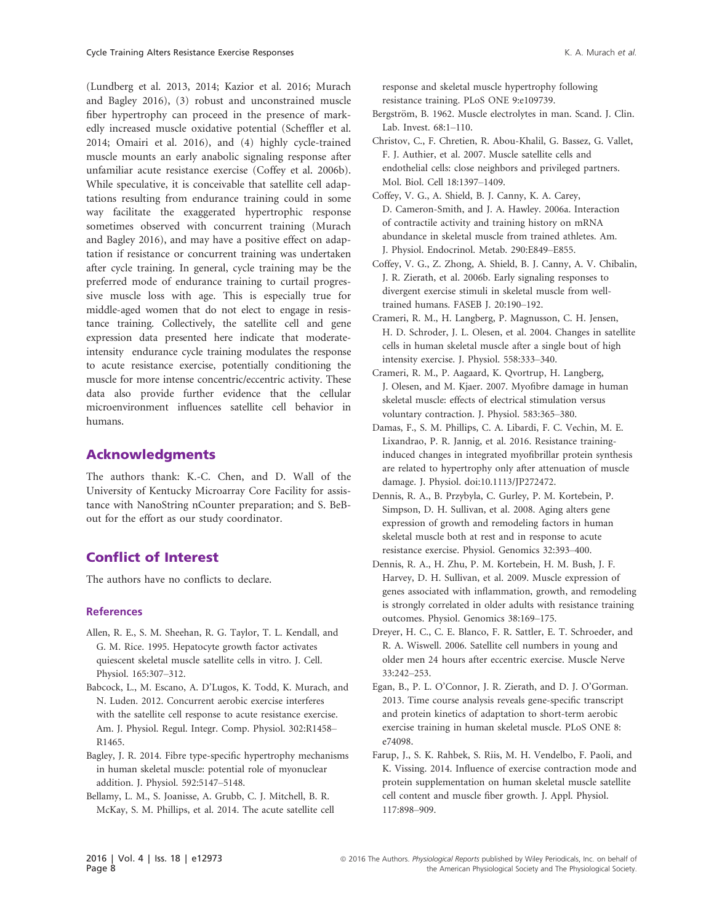(Lundberg et al. 2013, 2014; Kazior et al. 2016; Murach and Bagley 2016), (3) robust and unconstrained muscle fiber hypertrophy can proceed in the presence of markedly increased muscle oxidative potential (Scheffler et al. 2014; Omairi et al. 2016), and (4) highly cycle-trained muscle mounts an early anabolic signaling response after unfamiliar acute resistance exercise (Coffey et al. 2006b). While speculative, it is conceivable that satellite cell adaptations resulting from endurance training could in some way facilitate the exaggerated hypertrophic response sometimes observed with concurrent training (Murach and Bagley 2016), and may have a positive effect on adaptation if resistance or concurrent training was undertaken after cycle training. In general, cycle training may be the preferred mode of endurance training to curtail progressive muscle loss with age. This is especially true for middle-aged women that do not elect to engage in resistance training. Collectively, the satellite cell and gene expression data presented here indicate that moderateintensity endurance cycle training modulates the response to acute resistance exercise, potentially conditioning the muscle for more intense concentric/eccentric activity. These data also provide further evidence that the cellular microenvironment influences satellite cell behavior in humans.

#### Acknowledgments

The authors thank: K.-C. Chen, and D. Wall of the University of Kentucky Microarray Core Facility for assistance with NanoString nCounter preparation; and S. BeBout for the effort as our study coordinator.

#### Conflict of Interest

The authors have no conflicts to declare.

#### **References**

- Allen, R. E., S. M. Sheehan, R. G. Taylor, T. L. Kendall, and G. M. Rice. 1995. Hepatocyte growth factor activates quiescent skeletal muscle satellite cells in vitro. J. Cell. Physiol. 165:307–312.
- Babcock, L., M. Escano, A. D'Lugos, K. Todd, K. Murach, and N. Luden. 2012. Concurrent aerobic exercise interferes with the satellite cell response to acute resistance exercise. Am. J. Physiol. Regul. Integr. Comp. Physiol. 302:R1458– R1465.
- Bagley, J. R. 2014. Fibre type-specific hypertrophy mechanisms in human skeletal muscle: potential role of myonuclear addition. J. Physiol. 592:5147–5148.
- Bellamy, L. M., S. Joanisse, A. Grubb, C. J. Mitchell, B. R. McKay, S. M. Phillips, et al. 2014. The acute satellite cell

response and skeletal muscle hypertrophy following resistance training. PLoS ONE 9:e109739.

- Bergström, B. 1962. Muscle electrolytes in man. Scand. J. Clin. Lab. Invest. 68:1–110.
- Christov, C., F. Chretien, R. Abou-Khalil, G. Bassez, G. Vallet, F. J. Authier, et al. 2007. Muscle satellite cells and endothelial cells: close neighbors and privileged partners. Mol. Biol. Cell 18:1397–1409.
- Coffey, V. G., A. Shield, B. J. Canny, K. A. Carey, D. Cameron-Smith, and J. A. Hawley. 2006a. Interaction of contractile activity and training history on mRNA abundance in skeletal muscle from trained athletes. Am. J. Physiol. Endocrinol. Metab. 290:E849–E855.
- Coffey, V. G., Z. Zhong, A. Shield, B. J. Canny, A. V. Chibalin, J. R. Zierath, et al. 2006b. Early signaling responses to divergent exercise stimuli in skeletal muscle from welltrained humans. FASEB J. 20:190–192.
- Crameri, R. M., H. Langberg, P. Magnusson, C. H. Jensen, H. D. Schroder, J. L. Olesen, et al. 2004. Changes in satellite cells in human skeletal muscle after a single bout of high intensity exercise. J. Physiol. 558:333–340.
- Crameri, R. M., P. Aagaard, K. Qvortrup, H. Langberg, J. Olesen, and M. Kjaer. 2007. Myofibre damage in human skeletal muscle: effects of electrical stimulation versus voluntary contraction. J. Physiol. 583:365–380.
- Damas, F., S. M. Phillips, C. A. Libardi, F. C. Vechin, M. E. Lixandrao, P. R. Jannig, et al. 2016. Resistance traininginduced changes in integrated myofibrillar protein synthesis are related to hypertrophy only after attenuation of muscle damage. J. Physiol. doi[:10.1113/JP272472.](http://dx.doi.org/10.1113/JP272472)
- Dennis, R. A., B. Przybyla, C. Gurley, P. M. Kortebein, P. Simpson, D. H. Sullivan, et al. 2008. Aging alters gene expression of growth and remodeling factors in human skeletal muscle both at rest and in response to acute resistance exercise. Physiol. Genomics 32:393–400.
- Dennis, R. A., H. Zhu, P. M. Kortebein, H. M. Bush, J. F. Harvey, D. H. Sullivan, et al. 2009. Muscle expression of genes associated with inflammation, growth, and remodeling is strongly correlated in older adults with resistance training outcomes. Physiol. Genomics 38:169–175.
- Dreyer, H. C., C. E. Blanco, F. R. Sattler, E. T. Schroeder, and R. A. Wiswell. 2006. Satellite cell numbers in young and older men 24 hours after eccentric exercise. Muscle Nerve 33:242–253.
- Egan, B., P. L. O'Connor, J. R. Zierath, and D. J. O'Gorman. 2013. Time course analysis reveals gene-specific transcript and protein kinetics of adaptation to short-term aerobic exercise training in human skeletal muscle. PLoS ONE 8: e74098.
- Farup, J., S. K. Rahbek, S. Riis, M. H. Vendelbo, F. Paoli, and K. Vissing. 2014. Influence of exercise contraction mode and protein supplementation on human skeletal muscle satellite cell content and muscle fiber growth. J. Appl. Physiol. 117:898–909.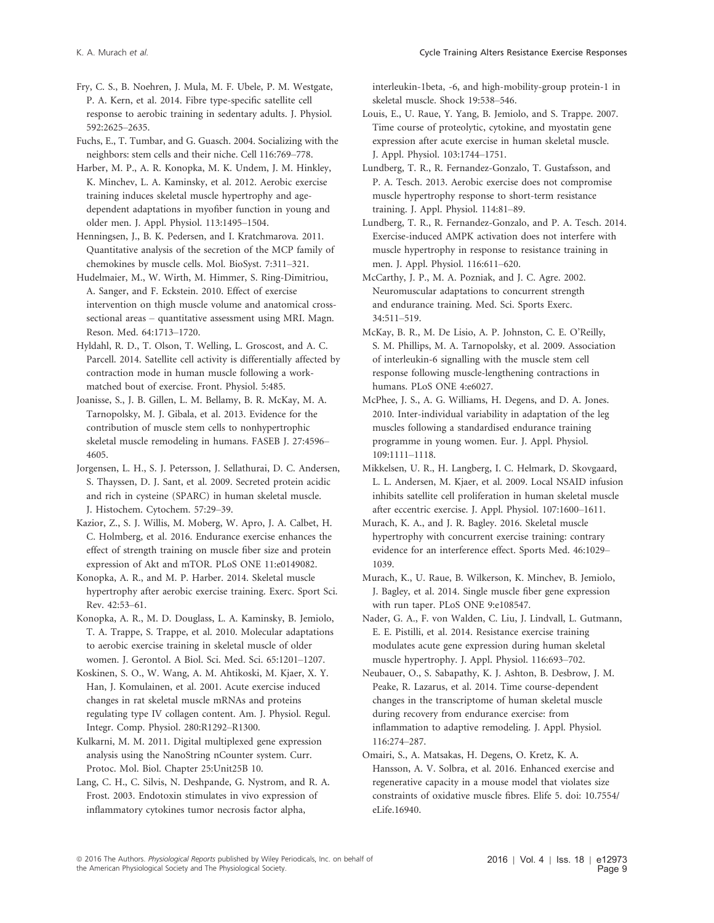Fry, C. S., B. Noehren, J. Mula, M. F. Ubele, P. M. Westgate, P. A. Kern, et al. 2014. Fibre type-specific satellite cell response to aerobic training in sedentary adults. J. Physiol. 592:2625–2635.

Fuchs, E., T. Tumbar, and G. Guasch. 2004. Socializing with the neighbors: stem cells and their niche. Cell 116:769–778.

Harber, M. P., A. R. Konopka, M. K. Undem, J. M. Hinkley, K. Minchev, L. A. Kaminsky, et al. 2012. Aerobic exercise training induces skeletal muscle hypertrophy and agedependent adaptations in myofiber function in young and older men. J. Appl. Physiol. 113:1495–1504.

Henningsen, J., B. K. Pedersen, and I. Kratchmarova. 2011. Quantitative analysis of the secretion of the MCP family of chemokines by muscle cells. Mol. BioSyst. 7:311–321.

Hudelmaier, M., W. Wirth, M. Himmer, S. Ring-Dimitriou, A. Sanger, and F. Eckstein. 2010. Effect of exercise intervention on thigh muscle volume and anatomical crosssectional areas – quantitative assessment using MRI. Magn. Reson. Med. 64:1713–1720.

Hyldahl, R. D., T. Olson, T. Welling, L. Groscost, and A. C. Parcell. 2014. Satellite cell activity is differentially affected by contraction mode in human muscle following a workmatched bout of exercise. Front. Physiol. 5:485.

Joanisse, S., J. B. Gillen, L. M. Bellamy, B. R. McKay, M. A. Tarnopolsky, M. J. Gibala, et al. 2013. Evidence for the contribution of muscle stem cells to nonhypertrophic skeletal muscle remodeling in humans. FASEB J. 27:4596– 4605.

Jorgensen, L. H., S. J. Petersson, J. Sellathurai, D. C. Andersen, S. Thayssen, D. J. Sant, et al. 2009. Secreted protein acidic and rich in cysteine (SPARC) in human skeletal muscle. J. Histochem. Cytochem. 57:29–39.

Kazior, Z., S. J. Willis, M. Moberg, W. Apro, J. A. Calbet, H. C. Holmberg, et al. 2016. Endurance exercise enhances the effect of strength training on muscle fiber size and protein expression of Akt and mTOR. PLoS ONE 11:e0149082.

Konopka, A. R., and M. P. Harber. 2014. Skeletal muscle hypertrophy after aerobic exercise training. Exerc. Sport Sci. Rev. 42:53–61.

Konopka, A. R., M. D. Douglass, L. A. Kaminsky, B. Jemiolo, T. A. Trappe, S. Trappe, et al. 2010. Molecular adaptations to aerobic exercise training in skeletal muscle of older women. J. Gerontol. A Biol. Sci. Med. Sci. 65:1201–1207.

Koskinen, S. O., W. Wang, A. M. Ahtikoski, M. Kjaer, X. Y. Han, J. Komulainen, et al. 2001. Acute exercise induced changes in rat skeletal muscle mRNAs and proteins regulating type IV collagen content. Am. J. Physiol. Regul. Integr. Comp. Physiol. 280:R1292–R1300.

Kulkarni, M. M. 2011. Digital multiplexed gene expression analysis using the NanoString nCounter system. Curr. Protoc. Mol. Biol. Chapter 25:Unit25B 10.

Lang, C. H., C. Silvis, N. Deshpande, G. Nystrom, and R. A. Frost. 2003. Endotoxin stimulates in vivo expression of inflammatory cytokines tumor necrosis factor alpha,

interleukin-1beta, -6, and high-mobility-group protein-1 in skeletal muscle. Shock 19:538–546.

Louis, E., U. Raue, Y. Yang, B. Jemiolo, and S. Trappe. 2007. Time course of proteolytic, cytokine, and myostatin gene expression after acute exercise in human skeletal muscle. J. Appl. Physiol. 103:1744–1751.

Lundberg, T. R., R. Fernandez-Gonzalo, T. Gustafsson, and P. A. Tesch. 2013. Aerobic exercise does not compromise muscle hypertrophy response to short-term resistance training. J. Appl. Physiol. 114:81–89.

Lundberg, T. R., R. Fernandez-Gonzalo, and P. A. Tesch. 2014. Exercise-induced AMPK activation does not interfere with muscle hypertrophy in response to resistance training in men. J. Appl. Physiol. 116:611–620.

McCarthy, J. P., M. A. Pozniak, and J. C. Agre. 2002. Neuromuscular adaptations to concurrent strength and endurance training. Med. Sci. Sports Exerc. 34:511–519.

McKay, B. R., M. De Lisio, A. P. Johnston, C. E. O'Reilly, S. M. Phillips, M. A. Tarnopolsky, et al. 2009. Association of interleukin-6 signalling with the muscle stem cell response following muscle-lengthening contractions in humans. PLoS ONE 4:e6027.

McPhee, J. S., A. G. Williams, H. Degens, and D. A. Jones. 2010. Inter-individual variability in adaptation of the leg muscles following a standardised endurance training programme in young women. Eur. J. Appl. Physiol. 109:1111–1118.

Mikkelsen, U. R., H. Langberg, I. C. Helmark, D. Skovgaard, L. L. Andersen, M. Kjaer, et al. 2009. Local NSAID infusion inhibits satellite cell proliferation in human skeletal muscle after eccentric exercise. J. Appl. Physiol. 107:1600–1611.

Murach, K. A., and J. R. Bagley. 2016. Skeletal muscle hypertrophy with concurrent exercise training: contrary evidence for an interference effect. Sports Med. 46:1029– 1039.

Murach, K., U. Raue, B. Wilkerson, K. Minchev, B. Jemiolo, J. Bagley, et al. 2014. Single muscle fiber gene expression with run taper. PLoS ONE 9:e108547.

Nader, G. A., F. von Walden, C. Liu, J. Lindvall, L. Gutmann, E. E. Pistilli, et al. 2014. Resistance exercise training modulates acute gene expression during human skeletal muscle hypertrophy. J. Appl. Physiol. 116:693–702.

Neubauer, O., S. Sabapathy, K. J. Ashton, B. Desbrow, J. M. Peake, R. Lazarus, et al. 2014. Time course-dependent changes in the transcriptome of human skeletal muscle during recovery from endurance exercise: from inflammation to adaptive remodeling. J. Appl. Physiol. 116:274–287.

Omairi, S., A. Matsakas, H. Degens, O. Kretz, K. A. Hansson, A. V. Solbra, et al. 2016. Enhanced exercise and regenerative capacity in a mouse model that violates size constraints of oxidative muscle fibres. Elife 5. doi: [10.7554/](http://dx.doi.org/10.7554/eLife.16940) [eLife.16940](http://dx.doi.org/10.7554/eLife.16940).